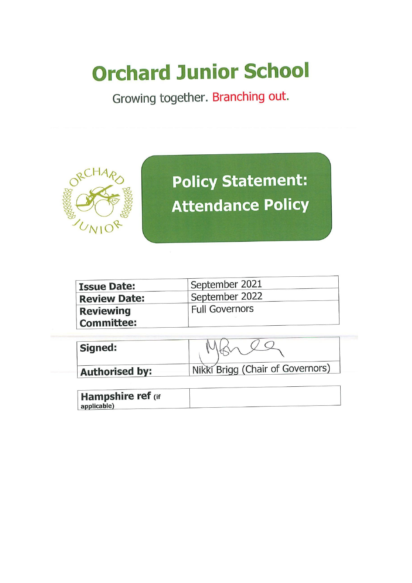# **Orchard Junior School**

Growing together. Branching out.



**Policy Statement: Attendance Policy** 

| <b>Issue Date:</b>  | September 2021        |
|---------------------|-----------------------|
| <b>Review Date:</b> | September 2022        |
| <b>Reviewing</b>    | <b>Full Governors</b> |
| Committee:          |                       |

| Signed:               |                                  |
|-----------------------|----------------------------------|
| <b>Authorised by:</b> | Nikki Brigg (Chair of Governors) |

| <b>Hampshire ref</b> (if |  |
|--------------------------|--|
| applicable)              |  |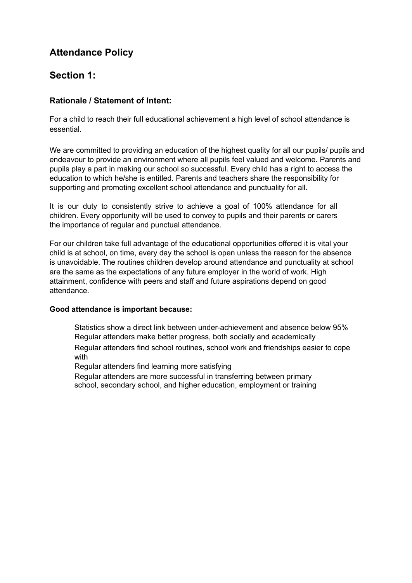# **Attendance Policy**

## **Section 1:**

#### **Rationale / Statement of Intent:**

For a child to reach their full educational achievement a high level of school attendance is essential.

We are committed to providing an education of the highest quality for all our pupils/ pupils and endeavour to provide an environment where all pupils feel valued and welcome. Parents and pupils play a part in making our school so successful. Every child has a right to access the education to which he/she is entitled. Parents and teachers share the responsibility for supporting and promoting excellent school attendance and punctuality for all.

It is our duty to consistently strive to achieve a goal of 100% attendance for all children. Every opportunity will be used to convey to pupils and their parents or carers the importance of regular and punctual attendance.

For our children take full advantage of the educational opportunities offered it is vital your child is at school, on time, every day the school is open unless the reason for the absence is unavoidable. The routines children develop around attendance and punctuality at school are the same as the expectations of any future employer in the world of work. High attainment, confidence with peers and staff and future aspirations depend on good attendance.

#### **Good attendance is important because:**

Statistics show a direct link between under-achievement and absence below 95% Regular attenders make better progress, both socially and academically Regular attenders find school routines, school work and friendships easier to cope

with

Regular attenders find learning more satisfying

Regular attenders are more successful in transferring between primary school, secondary school, and higher education, employment or training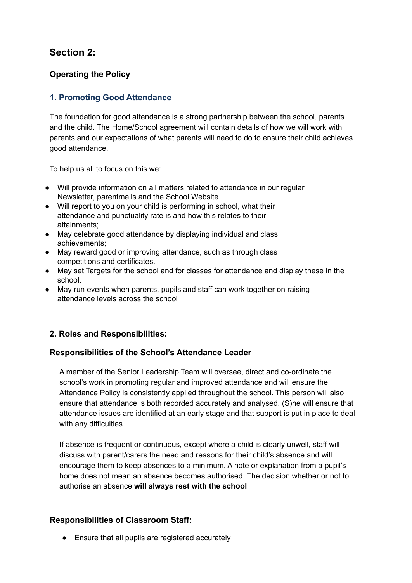# **Section 2:**

## **Operating the Policy**

## **1. Promoting Good Attendance**

The foundation for good attendance is a strong partnership between the school, parents and the child. The Home/School agreement will contain details of how we will work with parents and our expectations of what parents will need to do to ensure their child achieves good attendance.

To help us all to focus on this we:

- Will provide information on all matters related to attendance in our regular Newsletter, parentmails and the School Website
- Will report to you on your child is performing in school, what their attendance and punctuality rate is and how this relates to their attainments;
- May celebrate good attendance by displaying individual and class achievements;
- May reward good or improving attendance, such as through class competitions and certificates.
- May set Targets for the school and for classes for attendance and display these in the school.
- May run events when parents, pupils and staff can work together on raising attendance levels across the school

## **2. Roles and Responsibilities:**

#### **Responsibilities of the School's Attendance Leader**

A member of the Senior Leadership Team will oversee, direct and co-ordinate the school's work in promoting regular and improved attendance and will ensure the Attendance Policy is consistently applied throughout the school. This person will also ensure that attendance is both recorded accurately and analysed. (S)he will ensure that attendance issues are identified at an early stage and that support is put in place to deal with any difficulties.

If absence is frequent or continuous, except where a child is clearly unwell, staff will discuss with parent/carers the need and reasons for their child's absence and will encourage them to keep absences to a minimum. A note or explanation from a pupil's home does not mean an absence becomes authorised. The decision whether or not to authorise an absence **will always rest with the school**.

#### **Responsibilities of Classroom Staff:**

● Ensure that all pupils are registered accurately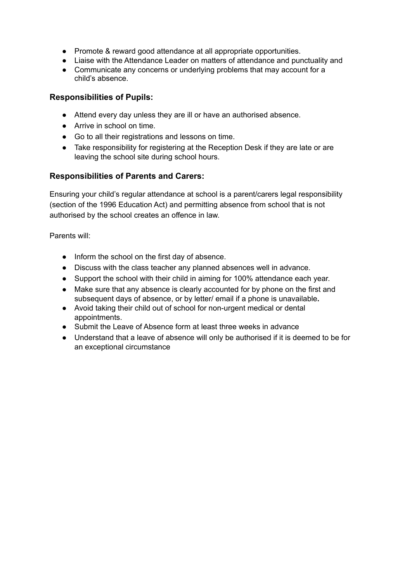- Promote & reward good attendance at all appropriate opportunities.
- Liaise with the Attendance Leader on matters of attendance and punctuality and
- Communicate any concerns or underlying problems that may account for a child's absence.

#### **Responsibilities of Pupils:**

- Attend every day unless they are ill or have an authorised absence.
- Arrive in school on time.
- Go to all their registrations and lessons on time.
- Take responsibility for registering at the Reception Desk if they are late or are leaving the school site during school hours.

#### **Responsibilities of Parents and Carers:**

Ensuring your child's regular attendance at school is a parent/carers legal responsibility (section of the 1996 Education Act) and permitting absence from school that is not authorised by the school creates an offence in law.

Parents will:

- Inform the school on the first day of absence.
- Discuss with the class teacher any planned absences well in advance.
- Support the school with their child in aiming for 100% attendance each year.
- **●** Make sure that any absence is clearly accounted for by phone on the first and subsequent days of absence, or by letter/ email if a phone is unavailable**.**
- Avoid taking their child out of school for non-urgent medical or dental appointments.
- Submit the Leave of Absence form at least three weeks in advance
- Understand that a leave of absence will only be authorised if it is deemed to be for an exceptional circumstance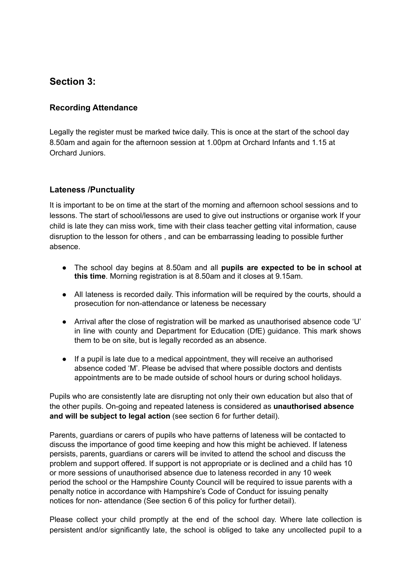## **Section 3:**

#### **Recording Attendance**

Legally the register must be marked twice daily. This is once at the start of the school day 8.50am and again for the afternoon session at 1.00pm at Orchard Infants and 1.15 at Orchard Juniors.

#### **Lateness /Punctuality**

It is important to be on time at the start of the morning and afternoon school sessions and to lessons. The start of school/lessons are used to give out instructions or organise work If your child is late they can miss work, time with their class teacher getting vital information, cause disruption to the lesson for others , and can be embarrassing leading to possible further absence.

- The school day begins at 8.50am and all **pupils are expected to be in school at this time**. Morning registration is at 8.50am and it closes at 9.15am.
- All lateness is recorded daily. This information will be required by the courts, should a prosecution for non-attendance or lateness be necessary
- Arrival after the close of registration will be marked as unauthorised absence code 'U' in line with county and Department for Education (DfE) guidance. This mark shows them to be on site, but is legally recorded as an absence.
- If a pupil is late due to a medical appointment, they will receive an authorised absence coded 'M'. Please be advised that where possible doctors and dentists appointments are to be made outside of school hours or during school holidays.

Pupils who are consistently late are disrupting not only their own education but also that of the other pupils. On-going and repeated lateness is considered as **unauthorised absence and will be subject to legal action** (see section 6 for further detail).

Parents, guardians or carers of pupils who have patterns of lateness will be contacted to discuss the importance of good time keeping and how this might be achieved. If lateness persists, parents, guardians or carers will be invited to attend the school and discuss the problem and support offered. If support is not appropriate or is declined and a child has 10 or more sessions of unauthorised absence due to lateness recorded in any 10 week period the school or the Hampshire County Council will be required to issue parents with a penalty notice in accordance with Hampshire's Code of Conduct for issuing penalty notices for non- attendance (See section 6 of this policy for further detail).

Please collect your child promptly at the end of the school day. Where late collection is persistent and/or significantly late, the school is obliged to take any uncollected pupil to a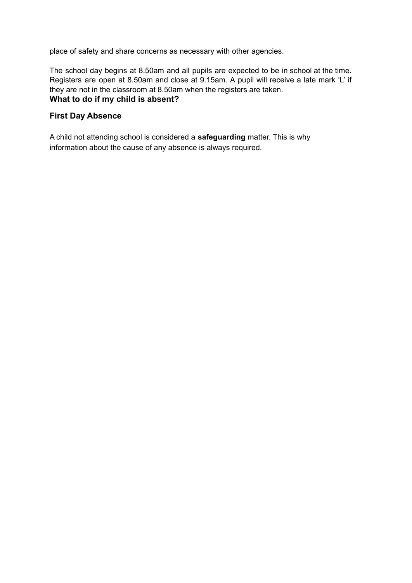place of safety and share concerns as necessary with other agencies.

The school day begins at 8.50am and all pupils are expected to be in school at the time. Registers are open at 8.50am and close at 9.15am. A pupil will receive a late mark 'L' if they are not in the classroom at 8.50am when the registers are taken. **What to do if my child is absent?**

#### **First Day Absence**

A child not attending school is considered a **safeguarding** matter. This is why information about the cause of any absence is always required.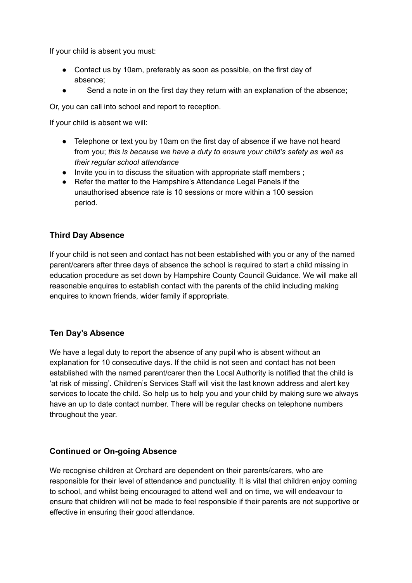If your child is absent you must:

- Contact us by 10am, preferably as soon as possible, on the first day of absence;
- Send a note in on the first day they return with an explanation of the absence;

Or, you can call into school and report to reception.

If your child is absent we will:

- *●* Telephone or text you by 10am on the first day of absence if we have not heard from you; *this is because we have a duty to ensure your child's safety as well as their regular school attendance*
- Invite you in to discuss the situation with appropriate staff members;
- Refer the matter to the Hampshire's Attendance Legal Panels if the unauthorised absence rate is 10 sessions or more within a 100 session period.

#### **Third Day Absence**

If your child is not seen and contact has not been established with you or any of the named parent/carers after three days of absence the school is required to start a child missing in education procedure as set down by Hampshire County Council Guidance. We will make all reasonable enquires to establish contact with the parents of the child including making enquires to known friends, wider family if appropriate.

#### **Ten Day's Absence**

We have a legal duty to report the absence of any pupil who is absent without an explanation for 10 consecutive days. If the child is not seen and contact has not been established with the named parent/carer then the Local Authority is notified that the child is 'at risk of missing'. Children's Services Staff will visit the last known address and alert key services to locate the child. So help us to help you and your child by making sure we always have an up to date contact number. There will be regular checks on telephone numbers throughout the year.

#### **Continued or On-going Absence**

We recognise children at Orchard are dependent on their parents/carers, who are responsible for their level of attendance and punctuality. It is vital that children enjoy coming to school, and whilst being encouraged to attend well and on time, we will endeavour to ensure that children will not be made to feel responsible if their parents are not supportive or effective in ensuring their good attendance.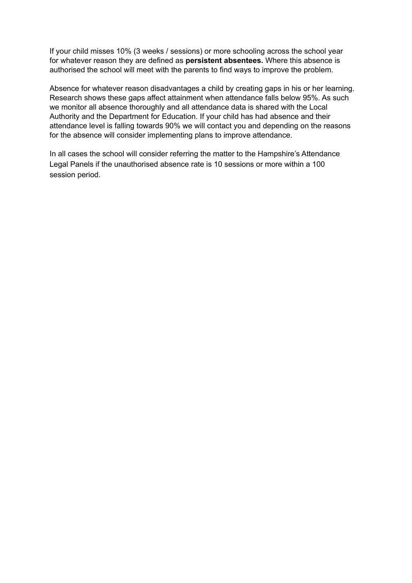If your child misses 10% (3 weeks / sessions) or more schooling across the school year for whatever reason they are defined as **persistent absentees.** Where this absence is authorised the school will meet with the parents to find ways to improve the problem.

Absence for whatever reason disadvantages a child by creating gaps in his or her learning. Research shows these gaps affect attainment when attendance falls below 95%. As such we monitor all absence thoroughly and all attendance data is shared with the Local Authority and the Department for Education. If your child has had absence and their attendance level is falling towards 90% we will contact you and depending on the reasons for the absence will consider implementing plans to improve attendance.

In all cases the school will consider referring the matter to the Hampshire's Attendance Legal Panels if the unauthorised absence rate is 10 sessions or more within a 100 session period.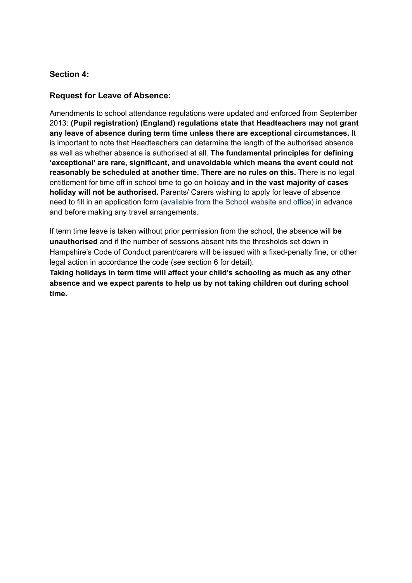#### **Section 4:**

#### **Request for Leave of Absence:**

Amendments to school attendance regulations were updated and enforced from September 2013: **(Pupil registration) (England) regulations state that Headteachers may not grant any leave of absence during term time unless there are exceptional circumstances.** It is important to note that Headteachers can determine the length of the authorised absence as well as whether absence is authorised at all. **The fundamental principles for defining 'exceptional' are rare, significant, and unavoidable which means the event could not reasonably be scheduled at another time. There are no rules on this.** There is no legal entitlement for time off in school time to go on holiday **and in the vast majority of cases holiday will not be authorised.** Parents/ Carers wishing to apply for leave of absence need to fill in an application form (available from the School website and office) in advance and before making any travel arrangements.

If term time leave is taken without prior permission from the school, the absence will **be unauthorised** and if the number of sessions absent hits the thresholds set down in Hampshire's Code of Conduct parent/carers will be issued with a fixed-penalty fine, or other legal action in accordance the code (see section 6 for detail).

**Taking holidays in term time will affect your child's schooling as much as any other absence and we expect parents to help us by not taking children out during school time.**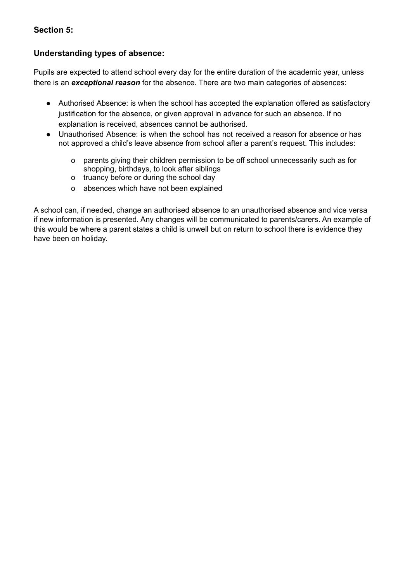#### **Section 5:**

#### **Understanding types of absence:**

Pupils are expected to attend school every day for the entire duration of the academic year, unless there is an *exceptional reason* for the absence. There are two main categories of absences:

- Authorised Absence: is when the school has accepted the explanation offered as satisfactory justification for the absence, or given approval in advance for such an absence. If no explanation is received, absences cannot be authorised.
- Unauthorised Absence: is when the school has not received a reason for absence or has not approved a child's leave absence from school after a parent's request. This includes:
	- o parents giving their children permission to be off school unnecessarily such as for shopping, birthdays, to look after siblings
	- o truancy before or during the school day
	- o absences which have not been explained

A school can, if needed, change an authorised absence to an unauthorised absence and vice versa if new information is presented. Any changes will be communicated to parents/carers. An example of this would be where a parent states a child is unwell but on return to school there is evidence they have been on holiday.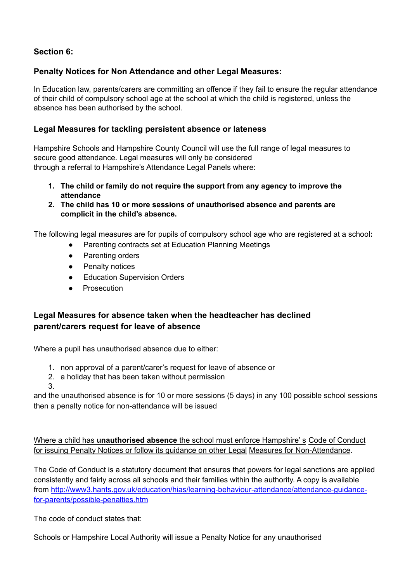## **Section 6:**

## **Penalty Notices for Non Attendance and other Legal Measures:**

In Education law, parents/carers are committing an offence if they fail to ensure the regular attendance of their child of compulsory school age at the school at which the child is registered, unless the absence has been authorised by the school.

#### **Legal Measures for tackling persistent absence or lateness**

Hampshire Schools and Hampshire County Council will use the full range of legal measures to secure good attendance. Legal measures will only be considered through a referral to Hampshire's Attendance Legal Panels where:

- **1. The child or family do not require the support from any agency to improve the attendance**
- **2. The child has 10 or more sessions of unauthorised absence and parents are complicit in the child's absence.**

The following legal measures are for pupils of compulsory school age who are registered at a school**:**

- Parenting contracts set at Education Planning Meetings
- Parenting orders
- Penalty notices
- **Education Supervision Orders**
- Prosecution

## **Legal Measures for absence taken when the headteacher has declined parent/carers request for leave of absence**

Where a pupil has unauthorised absence due to either:

- 1. non approval of a parent/carer's request for leave of absence or
- 2. a holiday that has been taken without permission
- 3.

and the unauthorised absence is for 10 or more sessions (5 days) in any 100 possible school sessions then a penalty notice for non-attendance will be issued

Where a child has **unauthorised absence** the school must enforce Hampshire' s Code of Conduct for issuing Penalty Notices or follow its guidance on other Legal Measures for Non-Attendance.

The Code of Conduct is a statutory document that ensures that powers for legal sanctions are applied consistently and fairly across all schools and their families within the authority. A copy is available from [http://www3.hants.gov.uk/education/hias/learning-behaviour-attendance/attendance-guidance](http://www3.hants.gov.uk/education/hias/learning-behaviour-attendance/attendance-guidance-for-parents/possible-penalties.htm)[for-parents/possible-penalties.htm](http://www3.hants.gov.uk/education/hias/learning-behaviour-attendance/attendance-guidance-for-parents/possible-penalties.htm)

The code of conduct states that:

Schools or Hampshire Local Authority will issue a Penalty Notice for any unauthorised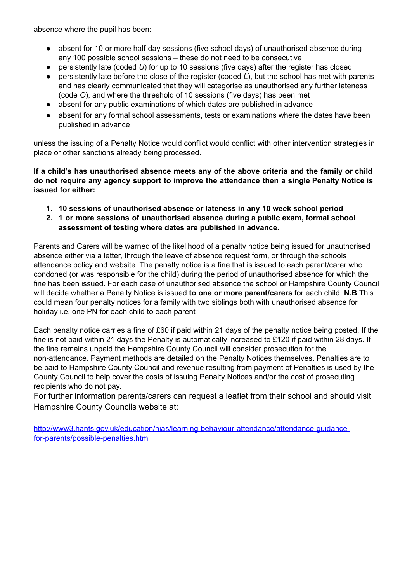absence where the pupil has been:

- absent for 10 or more half-day sessions (five school days) of unauthorised absence during any 100 possible school sessions – these do not need to be consecutive
- persistently late (coded *U*) for up to 10 sessions (five days) after the register has closed
- persistently late before the close of the register (coded *L*), but the school has met with parents and has clearly communicated that they will categorise as unauthorised any further lateness (code *O*), and where the threshold of 10 sessions (five days) has been met
- absent for any public examinations of which dates are published in advance
- absent for any formal school assessments, tests or examinations where the dates have been published in advance

unless the issuing of a Penalty Notice would conflict would conflict with other intervention strategies in place or other sanctions already being processed.

**If a child's has unauthorised absence meets any of the above criteria and the family or child do not require any agency support to improve the attendance then a single Penalty Notice is issued for either:**

- **1. 10 sessions of unauthorised absence or lateness in any 10 week school period**
- **2. 1 or more sessions of unauthorised absence during a public exam, formal school assessment of testing where dates are published in advance.**

Parents and Carers will be warned of the likelihood of a penalty notice being issued for unauthorised absence either via a letter, through the leave of absence request form, or through the schools attendance policy and website. The penalty notice is a fine that is issued to each parent/carer who condoned (or was responsible for the child) during the period of unauthorised absence for which the fine has been issued. For each case of unauthorised absence the school or Hampshire County Council will decide whether a Penalty Notice is issued **to one or more parent/carers** for each child. **N.B** This could mean four penalty notices for a family with two siblings both with unauthorised absence for holiday i.e. one PN for each child to each parent

Each penalty notice carries a fine of £60 if paid within 21 days of the penalty notice being posted. If the fine is not paid within 21 days the Penalty is automatically increased to £120 if paid within 28 days. If the fine remains unpaid the Hampshire County Council will consider prosecution for the non-attendance. Payment methods are detailed on the Penalty Notices themselves. Penalties are to be paid to Hampshire County Council and revenue resulting from payment of Penalties is used by the County Council to help cover the costs of issuing Penalty Notices and/or the cost of prosecuting recipients who do not pay.

For further information parents/carers can request a leaflet from their school and should visit Hampshire County Councils website at:

[http://www3.hants.gov.uk/education/hias/learning-behaviour-attendance/attendance-guidance](http://www3.hants.gov.uk/education/hias/learning-behaviour-attendance/attendance-guidance-for-parents/possible-penalties.htm)[for-parents/possible-penalties.htm](http://www3.hants.gov.uk/education/hias/learning-behaviour-attendance/attendance-guidance-for-parents/possible-penalties.htm)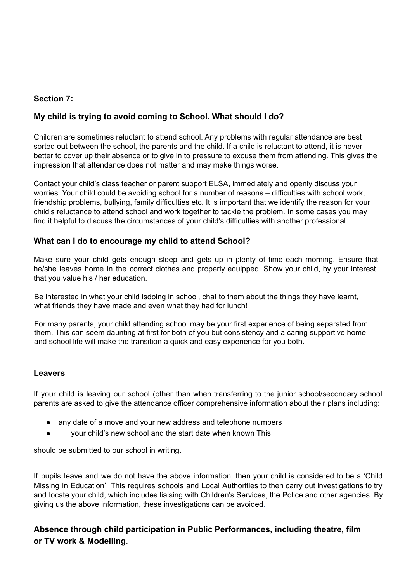#### **Section 7:**

#### **My child is trying to avoid coming to School. What should I do?**

Children are sometimes reluctant to attend school. Any problems with regular attendance are best sorted out between the school, the parents and the child. If a child is reluctant to attend, it is never better to cover up their absence or to give in to pressure to excuse them from attending. This gives the impression that attendance does not matter and may make things worse.

Contact your child's class teacher or parent support ELSA, immediately and openly discuss your worries. Your child could be avoiding school for a number of reasons – difficulties with school work, friendship problems, bullying, family difficulties etc. It is important that we identify the reason for your child's reluctance to attend school and work together to tackle the problem. In some cases you may find it helpful to discuss the circumstances of your child's difficulties with another professional.

#### **What can I do to encourage my child to attend School?**

Make sure your child gets enough sleep and gets up in plenty of time each morning. Ensure that he/she leaves home in the correct clothes and properly equipped. Show your child, by your interest, that you value his / her education.

Be interested in what your child isdoing in school, chat to them about the things they have learnt, what friends they have made and even what they had for lunch!

For many parents, your child attending school may be your first experience of being separated from them. This can seem daunting at first for both of you but consistency and a caring supportive home and school life will make the transition a quick and easy experience for you both.

#### **Leavers**

If your child is leaving our school (other than when transferring to the junior school/secondary school parents are asked to give the attendance officer comprehensive information about their plans including:

- any date of a move and your new address and telephone numbers
- your child's new school and the start date when known This

should be submitted to our school in writing.

If pupils leave and we do not have the above information, then your child is considered to be a 'Child Missing in Education'. This requires schools and Local Authorities to then carry out investigations to try and locate your child, which includes liaising with Children's Services, the Police and other agencies. By giving us the above information, these investigations can be avoided.

#### **Absence through child participation in Public Performances, including theatre, film or TV work & Modelling**.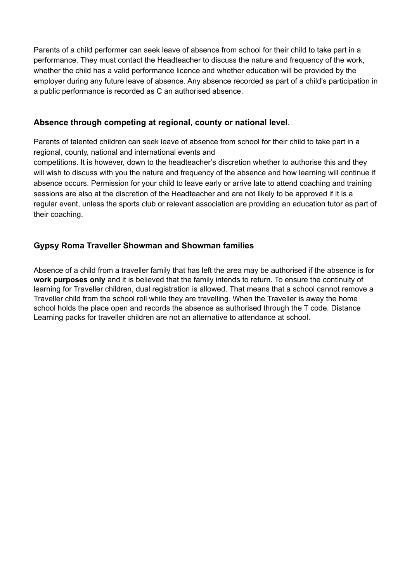Parents of a child performer can seek leave of absence from school for their child to take part in a performance. They must contact the Headteacher to discuss the nature and frequency of the work, whether the child has a valid performance licence and whether education will be provided by the employer during any future leave of absence. Any absence recorded as part of a child's participation in a public performance is recorded as C an authorised absence.

#### **Absence through competing at regional, county or national level**.

Parents of talented children can seek leave of absence from school for their child to take part in a regional, county, national and international events and

competitions. It is however, down to the headteacher's discretion whether to authorise this and they will wish to discuss with you the nature and frequency of the absence and how learning will continue if absence occurs. Permission for your child to leave early or arrive late to attend coaching and training sessions are also at the discretion of the Headteacher and are not likely to be approved if it is a regular event, unless the sports club or relevant association are providing an education tutor as part of their coaching.

## **Gypsy Roma Traveller Showman and Showman families**

Absence of a child from a traveller family that has left the area may be authorised if the absence is for **work purposes only** and it is believed that the family intends to return. To ensure the continuity of learning for Traveller children, dual registration is allowed. That means that a school cannot remove a Traveller child from the school roll while they are travelling. When the Traveller is away the home school holds the place open and records the absence as authorised through the T code. Distance Learning packs for traveller children are not an alternative to attendance at school.